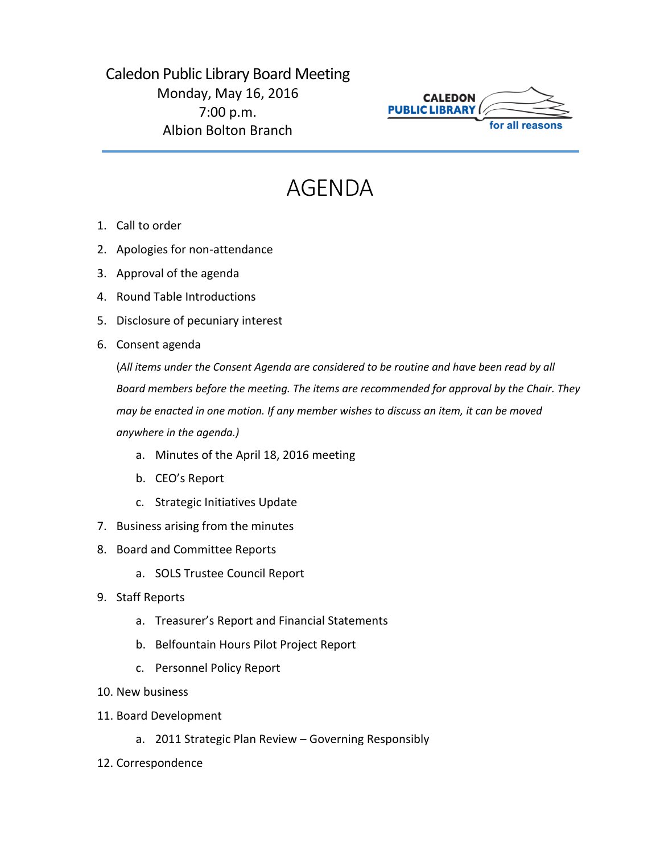## Caledon Public Library Board Meeting Monday, May 16, 2016 7:00 p.m. Albion Bolton Branch



## AGENDA

- 1. Call to order
- 2. Apologies for non-attendance
- 3. Approval of the agenda
- 4. Round Table Introductions
- 5. Disclosure of pecuniary interest
- 6. Consent agenda

(*All items under the Consent Agenda are considered to be routine and have been read by all Board members before the meeting. The items are recommended for approval by the Chair. They may be enacted in one motion. If any member wishes to discuss an item, it can be moved anywhere in the agenda.)*

- a. Minutes of the April 18, 2016 meeting
- b. CEO's Report
- c. Strategic Initiatives Update
- 7. Business arising from the minutes
- 8. Board and Committee Reports
	- a. SOLS Trustee Council Report
- 9. Staff Reports
	- a. Treasurer's Report and Financial Statements
	- b. Belfountain Hours Pilot Project Report
	- c. Personnel Policy Report
- 10. New business
- 11. Board Development
	- a. 2011 Strategic Plan Review Governing Responsibly
- 12. Correspondence